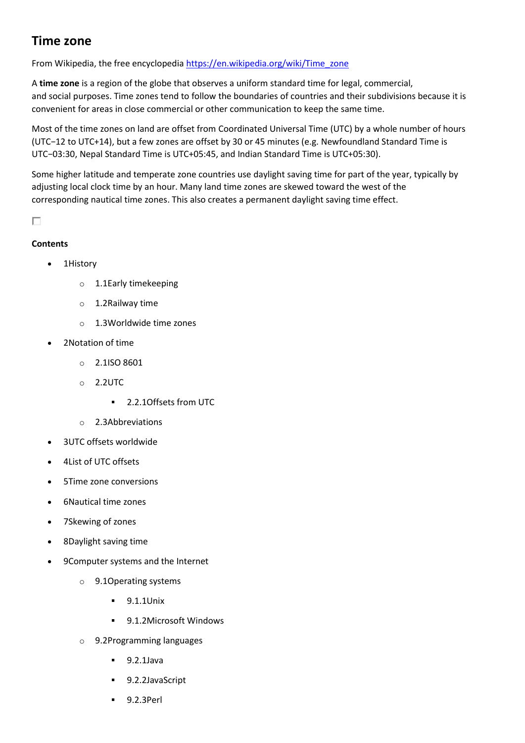# **Time zone**

From Wikipedia, the free encyclopedia [https://en.wikipedia.org/wiki/Time\\_zone](https://en.wikipedia.org/wiki/Time_zone)

A **time zone** is a region of the globe that observes a uniform standard time for legal, commercial, and social purposes. Time zones tend to follow the boundaries of countries and their subdivisions because it is convenient for areas in close commercial or other communication to keep the same time.

Most of the time zones on land are offset from Coordinated Universal Time (UTC) by a whole number of hours (UTC−12 to UTC+14), but a few zones are offset by 30 or 45 minutes (e.g. Newfoundland Standard Time is UTC−03:30, Nepal Standard Time is UTC+05:45, and Indian Standard Time is UTC+05:30).

Some higher latitude and temperate zone countries use daylight saving time for part of the year, typically by adjusting local clock time by an hour. Many land time zones are skewed toward the west of the corresponding nautical time zones. This also creates a permanent daylight saving time effect.

П

## **Contents**

- 1History
	- o 1.1Early timekeeping
	- o 1.2Railway time
	- o 1.3Worldwide time zones
- 2Notation of time
	- o 2.1ISO 8601
	- o 2.2UTC
		- 2.2.1Offsets from UTC
	- o 2.3Abbreviations
- 3UTC offsets worldwide
- 4List of UTC offsets
- 5Time zone conversions
- 6Nautical time zones
- 7Skewing of zones
- 8Daylight saving time
- 9Computer systems and the Internet
	- o 9.1Operating systems
		- 9.1.1Unix
		- 9.1.2Microsoft Windows
	- o 9.2Programming languages
		- 9.2.1Java
		- 9.2.2JavaScript
		- 9.2.3Perl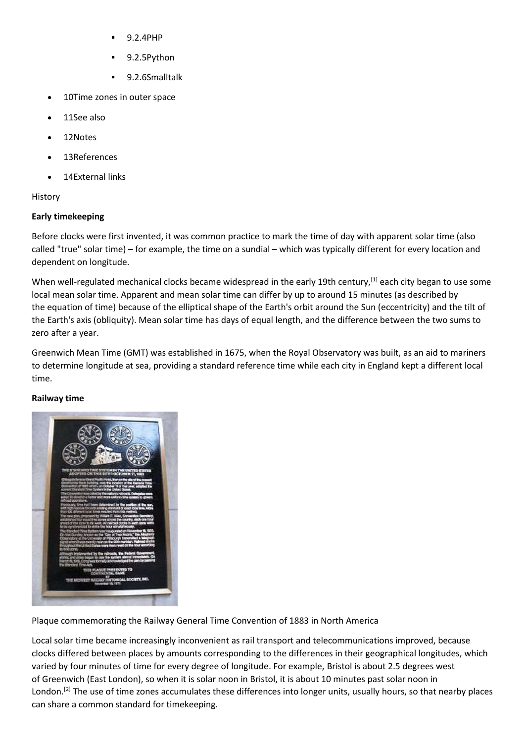- 9.2.4PHP
- 9.2.5Python
- 9.2.6Smalltalk
- 10Time zones in outer space
- 11See also
- 12Notes
- 13References
- 14External links

History

## **Early timekeeping**

Before clocks were first invented, it was common practice to mark the time of day with apparent solar time (also called "true" solar time) – for example, the time on a sundial – which was typically different for every location and dependent on longitude.

When well-regulated mechanical clocks became widespread in the early 19th century, [1] each city began to use some local mean solar time. Apparent and mean solar time can differ by up to around 15 minutes (as described by the equation of time) because of the elliptical shape of the Earth's orbit around the Sun (eccentricity) and the tilt of the Earth's axis (obliquity). Mean solar time has days of equal length, and the difference between the two sums to zero after a year.

Greenwich Mean Time (GMT) was established in 1675, when the Royal Observatory was built, as an aid to mariners to determine longitude at sea, providing a standard reference time while each city in England kept a different local time.

## **Railway time**



Plaque commemorating the Railway General Time Convention of 1883 in North America

Local solar time became increasingly inconvenient as rail transport and telecommunications improved, because clocks differed between places by amounts corresponding to the differences in their geographical longitudes, which varied by four minutes of time for every degree of longitude. For example, Bristol is about 2.5 degrees west of Greenwich (East London), so when it is solar noon in Bristol, it is about 10 minutes past solar noon in London.<sup>[2]</sup> The use of time zones accumulates these differences into longer units, usually hours, so that nearby places can share a common standard for timekeeping.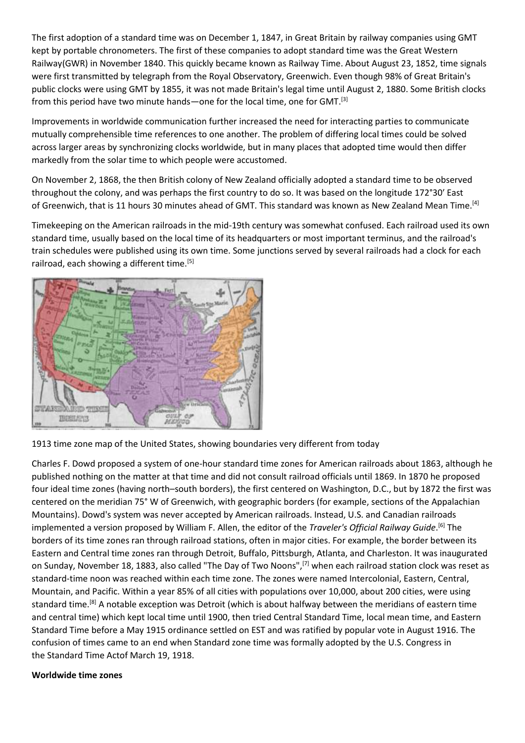The first adoption of a standard time was on December 1, 1847, in Great Britain by railway companies using GMT kept by portable chronometers. The first of these companies to adopt standard time was the Great Western Railway(GWR) in November 1840. This quickly became known as Railway Time. About August 23, 1852, time signals were first transmitted by telegraph from the Royal Observatory, Greenwich. Even though 98% of Great Britain's public clocks were using GMT by 1855, it was not made Britain's legal time until August 2, 1880. Some British clocks from this period have two minute hands—one for the local time, one for GMT.<sup>[3]</sup>

Improvements in worldwide communication further increased the need for interacting parties to communicate mutually comprehensible time references to one another. The problem of differing local times could be solved across larger areas by synchronizing clocks worldwide, but in many places that adopted time would then differ markedly from the solar time to which people were accustomed.

On November 2, 1868, the then British colony of New Zealand officially adopted a standard time to be observed throughout the colony, and was perhaps the first country to do so. It was based on the longitude 172°30′ East of Greenwich, that is 11 hours 30 minutes ahead of GMT. This standard was known as New Zealand Mean Time.<sup>[4]</sup>

Timekeeping on the American railroads in the mid-19th century was somewhat confused. Each railroad used its own standard time, usually based on the local time of its headquarters or most important terminus, and the railroad's train schedules were published using its own time. Some junctions served by several railroads had a clock for each railroad, each showing a different time.<sup>[5]</sup>



1913 time zone map of the United States, showing boundaries very different from today

Charles F. Dowd proposed a system of one-hour standard time zones for American railroads about 1863, although he published nothing on the matter at that time and did not consult railroad officials until 1869. In 1870 he proposed four ideal time zones (having north–south borders), the first centered on Washington, D.C., but by 1872 the first was centered on the meridian 75° W of Greenwich, with geographic borders (for example, sections of the Appalachian Mountains). Dowd's system was never accepted by American railroads. Instead, U.S. and Canadian railroads implemented a version proposed by William F. Allen, the editor of the *Traveler's Official Railway Guide*. [6] The borders of its time zones ran through railroad stations, often in major cities. For example, the border between its Eastern and Central time zones ran through Detroit, Buffalo, Pittsburgh, Atlanta, and Charleston. It was inaugurated on Sunday, November 18, 1883, also called "The Day of Two Noons",[7] when each railroad station clock was reset as standard-time noon was reached within each time zone. The zones were named Intercolonial, Eastern, Central, Mountain, and Pacific. Within a year 85% of all cities with populations over 10,000, about 200 cities, were using standard time.[8] A notable exception was Detroit (which is about halfway between the meridians of eastern time and central time) which kept local time until 1900, then tried Central Standard Time, local mean time, and Eastern Standard Time before a May 1915 ordinance settled on EST and was ratified by popular vote in August 1916. The confusion of times came to an end when Standard zone time was formally adopted by the U.S. Congress in the Standard Time Actof March 19, 1918.

#### **Worldwide time zones**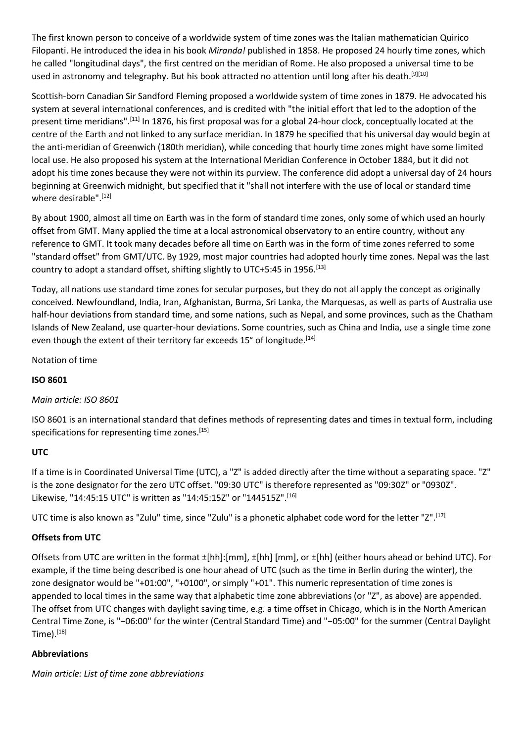The first known person to conceive of a worldwide system of time zones was the Italian mathematician Quirico Filopanti. He introduced the idea in his book *Miranda!* published in 1858. He proposed 24 hourly time zones, which he called "longitudinal days", the first centred on the meridian of Rome. He also proposed a universal time to be used in astronomy and telegraphy. But his book attracted no attention until long after his death.<sup>[9][10]</sup>

Scottish-born Canadian Sir Sandford Fleming proposed a worldwide system of time zones in 1879. He advocated his system at several international conferences, and is credited with "the initial effort that led to the adoption of the present time meridians".[11] In 1876, his first proposal was for a global 24-hour clock, conceptually located at the centre of the Earth and not linked to any surface meridian. In 1879 he specified that his universal day would begin at the anti-meridian of Greenwich (180th meridian), while conceding that hourly time zones might have some limited local use. He also proposed his system at the International Meridian Conference in October 1884, but it did not adopt his time zones because they were not within its purview. The conference did adopt a universal day of 24 hours beginning at Greenwich midnight, but specified that it "shall not interfere with the use of local or standard time where desirable".<sup>[12]</sup>

By about 1900, almost all time on Earth was in the form of standard time zones, only some of which used an hourly offset from GMT. Many applied the time at a local astronomical observatory to an entire country, without any reference to GMT. It took many decades before all time on Earth was in the form of time zones referred to some "standard offset" from GMT/UTC. By 1929, most major countries had adopted hourly time zones. Nepal was the last country to adopt a standard offset, shifting slightly to UTC+5:45 in 1956.<sup>[13]</sup>

Today, all nations use standard time zones for secular purposes, but they do not all apply the concept as originally conceived. Newfoundland, India, Iran, Afghanistan, Burma, Sri Lanka, the Marquesas, as well as parts of Australia use half-hour deviations from standard time, and some nations, such as Nepal, and some provinces, such as the Chatham Islands of New Zealand, use quarter-hour deviations. Some countries, such as China and India, use a single time zone even though the extent of their territory far exceeds 15° of longitude.<sup>[14]</sup>

Notation of time

## **ISO 8601**

## *Main article: ISO 8601*

ISO 8601 is an international standard that defines methods of representing dates and times in textual form, including specifications for representing time zones.<sup>[15]</sup>

#### **UTC**

If a time is in Coordinated Universal Time (UTC), a "Z" is added directly after the time without a separating space. "Z" is the zone designator for the zero UTC offset. "09:30 UTC" is therefore represented as "09:30Z" or "0930Z". Likewise, "14:45:15 UTC" is written as "14:45:15Z" or "144515Z".[16]

UTC time is also known as "Zulu" time, since "Zulu" is a phonetic alphabet code word for the letter "Z".[17]

#### **Offsets from UTC**

Offsets from UTC are written in the format ±[hh]:[mm], ±[hh] [mm], or ±[hh] (either hours ahead or behind UTC). For example, if the time being described is one hour ahead of UTC (such as the time in Berlin during the winter), the zone designator would be "+01:00", "+0100", or simply "+01". This numeric representation of time zones is appended to local times in the same way that alphabetic time zone abbreviations (or "Z", as above) are appended. The offset from UTC changes with daylight saving time, e.g. a time offset in Chicago, which is in the North American Central Time Zone, is "−06:00" for the winter (Central Standard Time) and "−05:00" for the summer (Central Daylight Time).[18]

#### **Abbreviations**

*Main article: List of time zone abbreviations*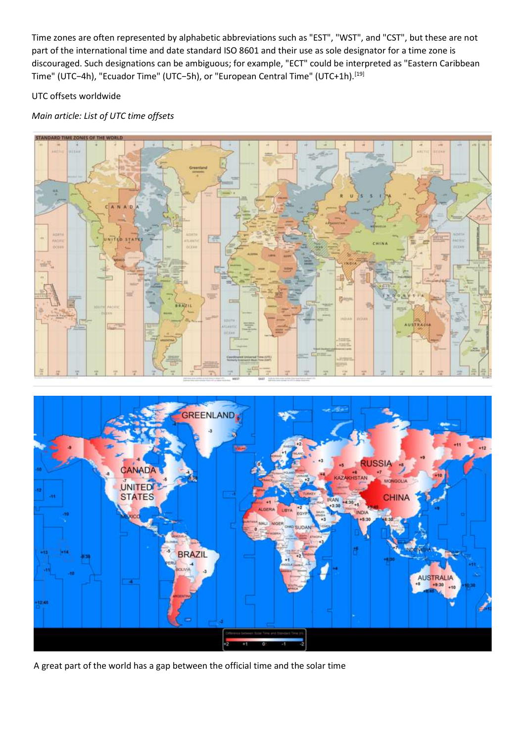Time zones are often represented by alphabetic abbreviations such as "EST", "WST", and "CST", but these are not part of the international time and date standard ISO 8601 and their use as sole designator for a time zone is discouraged. Such designations can be ambiguous; for example, "ECT" could be interpreted as "Eastern Caribbean Time" (UTC−4h), "Ecuador Time" (UTC−5h), or "European Central Time" (UTC+1h).[19]

## UTC offsets worldwide

# *Main article: List of UTC time offsets*





A great part of the world has a gap between the official time and the solar time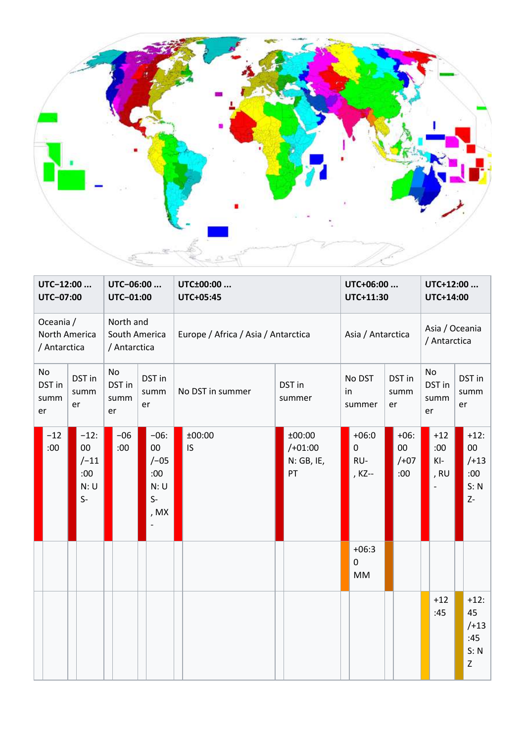

| UTC-12:00<br>UTC-07:00                             |              |                                                    | UTC-06:00<br>UTC-01:00                     |              | UTC±00:00<br>UTC+05:45 |                                                      | UTC+06:00<br>UTC+11:30              |                     | UTC+12:00<br>UTC+14:00                  |                |                                         |                      |                                |                |                              |  |                                               |
|----------------------------------------------------|--------------|----------------------------------------------------|--------------------------------------------|--------------|------------------------|------------------------------------------------------|-------------------------------------|---------------------|-----------------------------------------|----------------|-----------------------------------------|----------------------|--------------------------------|----------------|------------------------------|--|-----------------------------------------------|
| Oceania /<br>North America<br>/ Antarctica         |              |                                                    | North and<br>South America<br>/ Antarctica |              |                        |                                                      | Europe / Africa / Asia / Antarctica |                     | Asia / Antarctica                       |                | Asia / Oceania<br>/ Antarctica          |                      |                                |                |                              |  |                                               |
| No<br>DST in<br>DST in<br>summ<br>summ<br>er<br>er |              | No<br>DST in<br>DST in<br>summ<br>summ<br>er<br>er |                                            |              | No DST in summer       | DST in<br>summer                                     | in                                  | No DST<br>summer    | er                                      | DST in<br>summ | er                                      | No<br>DST in<br>summ | er                             | DST in<br>summ |                              |  |                                               |
|                                                    | $-12$<br>:00 | $-12:$<br>00<br>$/ -11$<br>:00<br>N: U<br>$S-$     |                                            | $-06$<br>:00 |                        | $-06:$<br>00<br>$/-05$<br>:00<br>N:U<br>$S-$<br>, MX |                                     | ±00:00<br><b>IS</b> | ±00:00<br>$/+01:00$<br>N: GB, IE,<br>PT |                | $+06:0$<br>$\mathbf 0$<br>RU-<br>, KZ-- |                      | $+06:$<br>00<br>$/ +07$<br>:00 |                | $+12$<br>:00:<br>KI-<br>, RU |  | $+12:$<br>00<br>$/+13$<br>:00<br>S: N<br>$Z-$ |
|                                                    |              |                                                    |                                            |              |                        |                                                      |                                     |                     |                                         |                | $+06:3$<br>$\mathbf 0$<br><b>MM</b>     |                      |                                |                |                              |  |                                               |
|                                                    |              |                                                    |                                            |              |                        |                                                      |                                     |                     |                                         |                |                                         |                      |                                |                | $+12$<br>:45                 |  | $+12:$<br>45<br>$/+13$<br>:45<br>S: N<br>Z    |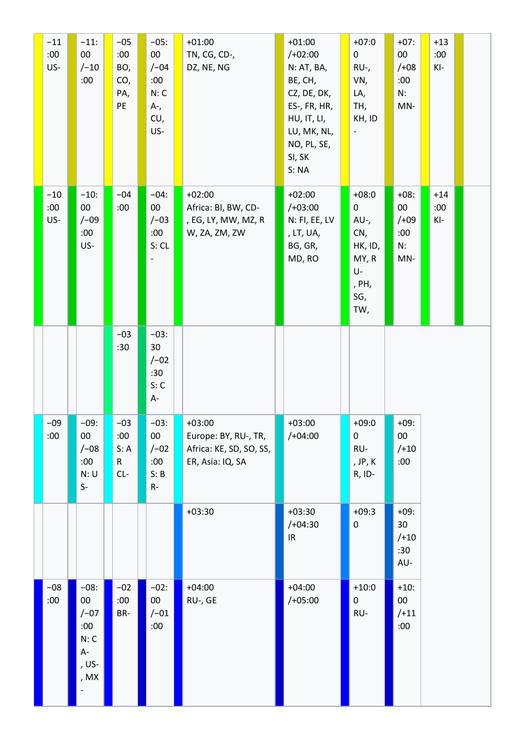| $-11$<br>:00<br>US- | $-11$ :<br>00<br>$/ -10$<br>:00                                    | $-05$<br>:00<br>BO,<br>CO,<br>PA,<br>PE | $-05:$<br>$00\,$<br>$/ -04$<br>:00<br>N: C<br>A-,<br>CU,<br>US- | $+01:00$<br>TN, CG, CD-,<br>DZ, NE, NG                                          | $+01:00$<br>$/+02:00$<br>N: AT, BA,<br>BE, CH,<br>CZ, DE, DK,<br>ES-, FR, HR,<br>HU, IT, LI,<br>LU, MK, NL,<br>NO, PL, SE,<br>SI, SK<br>S: NA | $+07:0$<br>$\mathbf 0$<br>RU-,<br>VN,<br>LA,<br>TH,<br>KH, ID<br>$\overline{\phantom{a}}$ | $+07:$<br>$00\,$<br>$/ +08$<br>:00<br>N:<br>$MN-$ | $+13$<br>:00<br>KI-   |  |
|---------------------|--------------------------------------------------------------------|-----------------------------------------|-----------------------------------------------------------------|---------------------------------------------------------------------------------|-----------------------------------------------------------------------------------------------------------------------------------------------|-------------------------------------------------------------------------------------------|---------------------------------------------------|-----------------------|--|
| $-10$<br>:00<br>US- | $-10:$<br>$00\,$<br>$/ -09$<br>:00<br>US-                          | $-04$<br>:00                            | $-04:$<br>$00\,$<br>$/-03$<br>:00<br>S: CL                      | $+02:00$<br>Africa: BI, BW, CD-<br>, EG, LY, MW, MZ, R<br>W, ZA, ZM, ZW         | $+02:00$<br>$/+03:00$<br>N: FI, EE, LV<br>, LT, UA,<br>BG, GR,<br>MD, RO                                                                      | $+08:0$<br>0<br>AU-,<br>CN,<br>HK, ID,<br>MY, R<br>U-<br>, PH,<br>SG,<br>TW,              | $+08:$<br>$00\,$<br>$/ +09$<br>:00<br>N:<br>MN-   | $+14$<br>:00<br>$KI-$ |  |
|                     |                                                                    | $-03$<br>:30                            | $-03:$<br>30<br>$/ -02$<br>:30<br>S: C<br>$A-$                  |                                                                                 |                                                                                                                                               |                                                                                           |                                                   |                       |  |
| $-09$<br>:00        | $-09:$<br>$00\,$<br>$/ -08$<br>:00<br>N: U<br>$\mathsf{S}\text{-}$ | $-03$<br>:00<br>S: A<br>R<br>$CL-$      | $-03:$<br>$00\,$<br>$/ -02$<br>:00<br>S: B<br>$R-$              | $+03:00$<br>Europe: BY, RU-, TR,<br>Africa: KE, SD, SO, SS,<br>ER, Asia: IQ, SA | $+03:00$<br>$/+04:00$                                                                                                                         | $+09:0$<br>0<br>RU-<br>, JP, K<br>R, ID-                                                  | $+09:$<br>$00\,$<br>$/+10$<br>:00                 |                       |  |
|                     |                                                                    |                                         |                                                                 | $+03:30$                                                                        | $+03:30$<br>$/+04:30$<br>$\ensuremath{\mathsf{IR}}\xspace$                                                                                    | $+09:3$<br>$\pmb{0}$                                                                      | $+09:$<br>30<br>$/+10$<br>:30<br>AU-              |                       |  |
| $-08$<br>:00        | $-08:$<br>$00\,$<br>$/-07$<br>:00<br>N: C<br>$A-$<br>, US-<br>, MX | $-02$<br>:00<br>BR-                     | $-02:$<br>$00\,$<br>$/ -01$<br>:00                              | $+04:00$<br>RU-, GE                                                             | $+04:00$<br>$/+05:00$                                                                                                                         | $+10:0$<br>$\mathsf{O}$<br>RU-                                                            | $+10:$<br>$00\,$<br>$/+11$<br>:00                 |                       |  |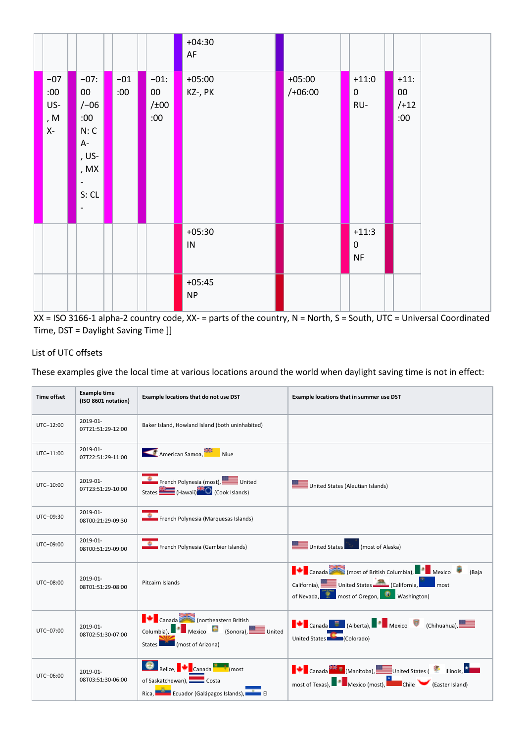



## List of UTC offsets

These examples give the local time at various locations around the world when daylight saving time is not in effect:

| <b>Time offset</b> | <b>Example time</b><br>(ISO 8601 notation) | Example locations that do not use DST                                                                  | Example locations that in summer use DST                                                                                                                                          |
|--------------------|--------------------------------------------|--------------------------------------------------------------------------------------------------------|-----------------------------------------------------------------------------------------------------------------------------------------------------------------------------------|
| UTC-12:00          | 2019-01-<br>07T21:51:29-12:00              | Baker Island, Howland Island (both uninhabited)                                                        |                                                                                                                                                                                   |
| $UTC-11:00$        | 2019-01-<br>07T22:51:29-11:00              | American Samoa, Niue                                                                                   |                                                                                                                                                                                   |
| UTC-10:00          | 2019-01-<br>07T23:51:29-10:00              | French Polynesia (most), United<br>States (Hawaii) (Cook Islands)                                      | United States (Aleutian Islands)                                                                                                                                                  |
| UTC-09:30          | 2019-01-<br>08T00:21:29-09:30              | French Polynesia (Marquesas Islands)                                                                   |                                                                                                                                                                                   |
| UTC-09:00          | 2019-01-<br>08T00:51:29-09:00              | French Polynesia (Gambier Islands)                                                                     | United States<br>(most of Alaska)                                                                                                                                                 |
| UTC-08:00          | 2019-01-<br>08T01:51:29-08:00              | Pitcairn Islands                                                                                       | Canada Canada (most of British Columbia), Premiero<br>(Baja<br>California), United States (California, 1999) most<br>of Nevada, <b>The most of Oregon, Communist Washington</b> ) |
| UTC-07:00          | $2019 - 01 -$<br>08T02:51:30-07:00         | Canada Charles (northeastern British<br>Columbia), Mexico (Sonora), United<br>States (most of Arizona) | <b>T</b> Canada <b>E</b> (Alberta), Mexico <b>C</b> (Chihuahua),<br>United States <b>No. 3</b> (Colorado)                                                                         |
| UTC-06:00          | $2019 - 01 -$<br>08T03:51:30-06:00         | Belize, Canada <b>Business</b> (most<br>of Saskatchewan), Costa<br>Rica, Eduador (Galápagos Islands),  | <b>THE Canada</b> (Manitoba), United States ( Illinois, A<br>most of Texas), <b>Notify the Mexico (most)</b> , <b>Notify Chile</b> (Easter Island)                                |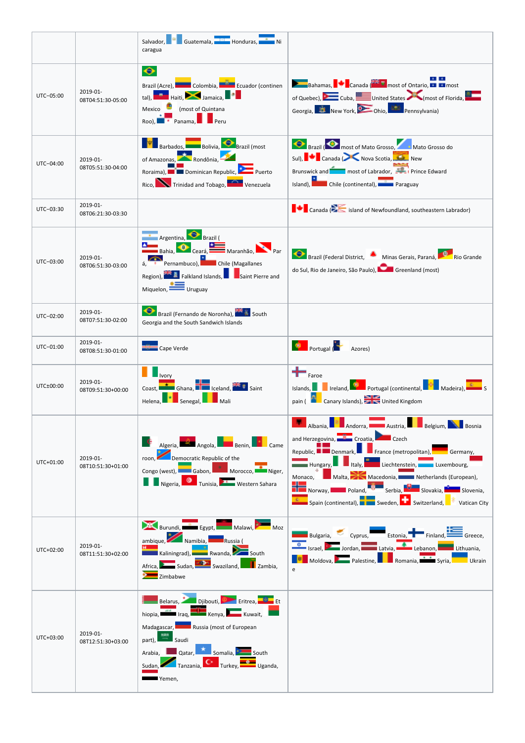|           |                               | Salvador, W Guatemala, Honduras, T. Ni<br>caragua                                                                                                                                                                                                                          |                                                                                                                                                                                                                                                                                                                                                                                                                                                                                                                                             |
|-----------|-------------------------------|----------------------------------------------------------------------------------------------------------------------------------------------------------------------------------------------------------------------------------------------------------------------------|---------------------------------------------------------------------------------------------------------------------------------------------------------------------------------------------------------------------------------------------------------------------------------------------------------------------------------------------------------------------------------------------------------------------------------------------------------------------------------------------------------------------------------------------|
| UTC-05:00 | 2019-01-<br>08T04:51:30-05:00 | ◆<br>Brazil (Acre), Colombia, Eduador (continen<br>tal), <b>Education Haiti</b> , <b>Albumaica</b> , <b>Education</b><br>Mexico (most of Quintana<br>Roo), Pranama, Preru                                                                                                  | Bahamas, Canada (Fig. 3) most of Ontario,<br>of Quebec), Cuba, United States (most of Florida,<br>Georgia, The New York, D. Ohio, Champennsylvania)                                                                                                                                                                                                                                                                                                                                                                                         |
| UTC-04:00 | 2019-01-<br>08T05:51:30-04:00 | <b>Example 3</b> Barbados, Bolivia, Brazil (most<br>of Amazonas, Rondônia,<br>Roraima), Duminican Republic, Premierto<br>Rico, <b>New Trinidad and Tobago</b> , <b>New Young Venezuela</b>                                                                                 | <b>Brazil O</b> most of Mato Grosso, Mato Grosso do<br>Sul), Canada (New Nova Scotia, New New<br>Brunswick and <b>Theory of Labrador</b> , <b>Evaluate</b> Prince Edward<br>Island), Chile (continental), Paraguay                                                                                                                                                                                                                                                                                                                          |
| UTC-03:30 | 2019-01-<br>08T06:21:30-03:30 |                                                                                                                                                                                                                                                                            | $\blacksquare$ Canada ( $\gtrsim$ island of Newfoundland, southeastern Labrador)                                                                                                                                                                                                                                                                                                                                                                                                                                                            |
| UTC-03:00 | 2019-01-<br>08T06:51:30-03:00 | Argentina, Brazil (<br>Bahia, O Ceará, Maranhão, Par<br>á, Pernambuco), Chile (Magallanes<br>Region), <b>The E</b> Falkland Islands, <b>B</b> Saint Pierre and<br>$Miquelon, \n\begin{array}{c}\n\hline\n\hline\n\hline\n\end{array}$ Uruguay                              | Brazil (Federal District, Minas Gerais, Paraná, Romandeles, Rio Grandeles, Rio Grandeles, Rio Grandeles, Rio Grandeles, Rio Grandeles, Rio Grandeles, Rio Grandeles, Rio Grandeles, Rio Grandeles, Rio Grandeles, Rio Grandele<br>do Sul, Rio de Janeiro, São Paulo), <b>Calgado Greenland</b> (most)                                                                                                                                                                                                                                       |
| UTC-02:00 | 2019-01-<br>08T07:51:30-02:00 | Brazil (Fernando de Noronha), <b>San State Scott</b><br>Georgia and the South Sandwich Islands                                                                                                                                                                             |                                                                                                                                                                                                                                                                                                                                                                                                                                                                                                                                             |
| UTC-01:00 | 2019-01-<br>08T08:51:30-01:00 | Cape Verde                                                                                                                                                                                                                                                                 | <b>D</b><br>Portugal (<br>Azores)                                                                                                                                                                                                                                                                                                                                                                                                                                                                                                           |
| UTC±00:00 | 2019-01-<br>08T09:51:30+00:00 | Ivory<br><b>The Ghana, Reduced Ave. 3 Saint</b><br>Coast,<br>Senegal, Nali<br>Helena,                                                                                                                                                                                      | $\leftarrow$ Faroe<br>Islands, Including the Portugal (continental, Fig. 2) Madeira), <b>Fig. 3</b> S<br>pain ( Canary Islands), and United Kingdom                                                                                                                                                                                                                                                                                                                                                                                         |
| UTC+01:00 | 2019-01-<br>08T10:51:30+01:00 | Algeria, Angola, Benin, Bame<br>roon, Democratic Republic of the<br>Congo (west), Gabon, Marin Morocco, Niger,<br><b>The Second Tunisia, The Second School</b> Tunisia, The Western Sahara                                                                                 | Andorra, <b>Alberta Austria, Alberta Belgium, Alberta Bosnia</b><br>Albania,<br>and Herzegovina, Croatia, Croatia, Czech<br>Republic, Denmark, Figure (metropolitan), Germany,<br><b>The Hungary, E. P. Listy, Room</b> Liechtenstein, <b>The Luxembourg,</b><br>Monaco, Malta, Macedonia, Metherlands (European),<br><b>De Rorway, B. Roland, B. Rorbia, B. Royakia, B. Royakia, E. Royakia, E. Royakia, E. Royakia, E. Royakia, E. Ro</b><br>Spain (continental), <b>Example 2</b> Sweden, <b>The Switzerland, Example 2</b> Vatican City |
| UTC+02:00 | 2019-01-<br>08T11:51:30+02:00 | Burundi, Egypt, Malawi, Moz<br>ambique, Namibia, Russia (<br>Kaliningrad), <b>Wanda</b> , <b>Common South</b><br>Africa, Sudan, Sudan, Swaziland, Bambia,<br>Zimbabwe                                                                                                      | Bulgaria, Cyprus, Estonia, Finland, Estonia, Greece,<br>Israel, <b>Participal Structure Latvia</b> , <b>Communist Communist Communist Communist Communist Communist Communist Communist Communist Communist Communist Communist Communist Communist Communist Communist Communist Communist Co</b><br>Moldova, <b>Palestine</b> , <b>Palestine</b> , Romania, <b>Palestine</b> Syria, <b>Palestine</b> Ukrain                                                                                                                               |
| UTC+03:00 | 2019-01-<br>08T12:51:30+03:00 | Belarus, Dijbouti, Deleritrea, Digel Et<br>hiopia, Iraq, Kenya, Kuwait,<br>Madagascar, Russia (most of European<br>part), $\overline{a}$ Saudi<br>Arabia, <b>Del Qatar, Alexandria</b> Somalia, <b>Principal South</b><br>Sudan, Tanzania, C Turkey, The Uganda,<br>Yemen, |                                                                                                                                                                                                                                                                                                                                                                                                                                                                                                                                             |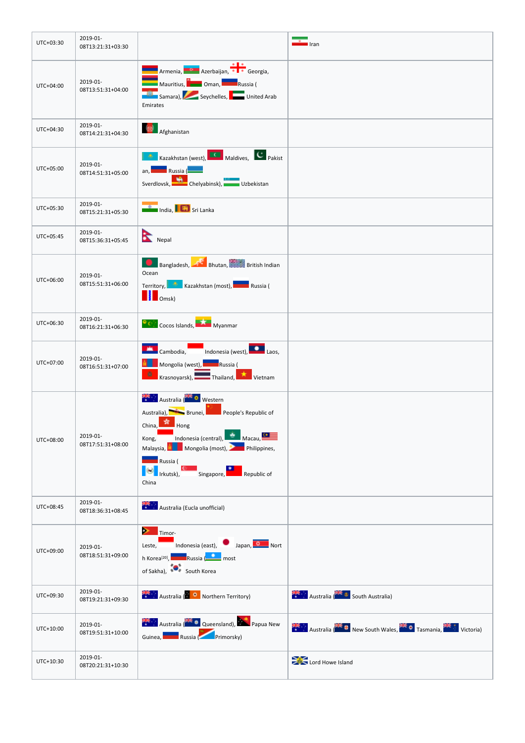| UTC+03:30 | 2019-01-<br>08T13:21:31+03:30 |                                                                                                                                                                                                                                                                                      | Iran                                                   |
|-----------|-------------------------------|--------------------------------------------------------------------------------------------------------------------------------------------------------------------------------------------------------------------------------------------------------------------------------------|--------------------------------------------------------|
| UTC+04:00 | 2019-01-<br>08T13:51:31+04:00 | Armenia, Azerbaijan, Barcelongia,<br><b>Alberta (Barca)</b><br>Mauritius, <b>Communistra (Barca)</b><br>Russia (<br>Samara), Seychelles, Maria United Arab<br>Emirates                                                                                                               |                                                        |
| UTC+04:30 | 2019-01-<br>08T14:21:31+04:30 | Afghanistan                                                                                                                                                                                                                                                                          |                                                        |
| UTC+05:00 | 2019-01-<br>08T14:51:31+05:00 | <b>All Kazakhstan (west), Canadian Maldives, Caracheter Pakist</b><br>an, Russia (<br>Sverdlovsk, Handbursk, William Uzbekistan                                                                                                                                                      |                                                        |
| UTC+05:30 | 2019-01-<br>08T15:21:31+05:30 | <b>The India, I did</b> Sri Lanka                                                                                                                                                                                                                                                    |                                                        |
| UTC+05:45 | 2019-01-<br>08T15:36:31+05:45 | Nepal                                                                                                                                                                                                                                                                                |                                                        |
| UTC+06:00 | 2019-01-<br>08T15:51:31+06:00 | Bhutan, British Indian<br>Ocean<br>Territory, Kazakhstan (most), Russia (<br><b>D</b> Omsk)                                                                                                                                                                                          |                                                        |
| UTC+06:30 | 2019-01-<br>08T16:21:31+06:30 | <b>Cocos Islands, DAG Myanmar</b>                                                                                                                                                                                                                                                    |                                                        |
| UTC+07:00 | 2019-01-<br>08T16:51:31+07:00 | Cambodia, Indonesia (west), Laos,<br><b>Kanadia (Alexandrian Starter)</b> Russia (<br>$\mathbf{0}^-$<br>Krasnoyarsk), Thailand, Krasnoyarsk,                                                                                                                                         |                                                        |
| UTC+08:00 | 2019-01-<br>08T17:51:31+08:00 | Australia (NE O Western<br>Australia), Brunei, Brunei, People's Republic of<br>China, $\frac{1}{\sqrt{2}}$ Hong<br>Kong, Indonesia (central), Macau, Camp<br>Malaysia, Nongolia (most), New Philippines,<br><b>Russia</b> (<br><b>Example 18 Singapore</b> ,<br>Republic of<br>China |                                                        |
| UTC+08:45 | 2019-01-<br>08T18:36:31+08:45 | Australia (Eucla unofficial)                                                                                                                                                                                                                                                         |                                                        |
| UTC+09:00 | 2019-01-<br>08T18:51:31+09:00 | $\bullet$ Timor-<br>Leste, Indonesia (east), Japan, O Nort<br>h Korea <sup>[20]</sup> , Russia ( <b>Karena</b> most<br>of Sakha), South Korea                                                                                                                                        |                                                        |
| UTC+09:30 | 2019-01-<br>08T19:21:31+09:30 | Australia ( <b>Bushing Northern Territory</b> )                                                                                                                                                                                                                                      | Australia (ALA 3 South Australia)                      |
| UTC+10:00 | 2019-01-<br>08T19:51:31+10:00 | Australia (And O Queensland), Papua New<br>Guinea, Russia (Primorsky)                                                                                                                                                                                                                | Australia New South Wales, The Tasmania, The Victoria) |
| UTC+10:30 | 2019-01-<br>08T20:21:31+10:30 |                                                                                                                                                                                                                                                                                      | Lord Howe Island                                       |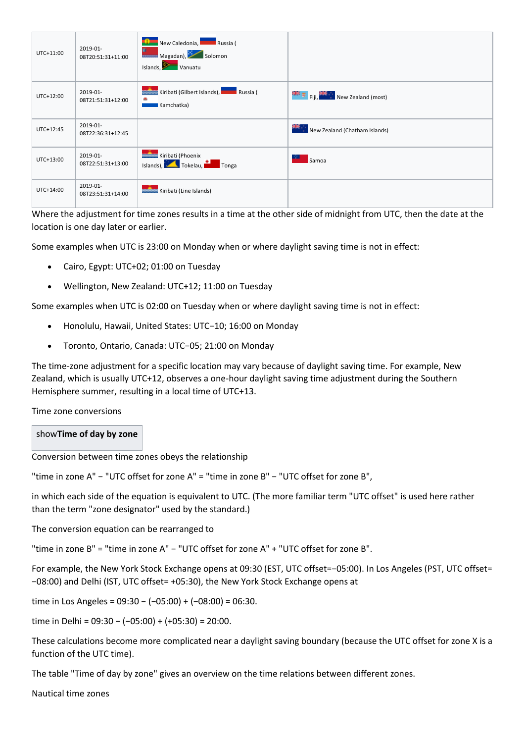| UTC+11:00 | 2019-01-<br>08T20:51:31+11:00 | New Caledonia, Nussia (<br>$\frac{1}{\sqrt{1-\frac{1}{2}}}\text{Magadan}$ Solomon<br>Islands, Vanuatu |                                                     |
|-----------|-------------------------------|-------------------------------------------------------------------------------------------------------|-----------------------------------------------------|
| UTC+12:00 | 2019-01-<br>08T21:51:31+12:00 | <b>Russia</b> Kiribati (Gilbert Islands), <b>Kanada Russia</b> (<br>۰<br>Kamchatka)                   | $\frac{1}{2}$ Fig. $\frac{1}{2}$ New Zealand (most) |
| UTC+12:45 | 2019-01-<br>08T22:36:31+12:45 |                                                                                                       | New Zealand (Chatham Islands)                       |
| UTC+13:00 | 2019-01-<br>08T22:51:31+13:00 | Kiribati (Phoenix<br>Islands), Tokelau, Tonga                                                         | Samoa                                               |
| UTC+14:00 | 2019-01-<br>08T23:51:31+14:00 | Kiribati (Line Islands)                                                                               |                                                     |

Where the adjustment for time zones results in a time at the other side of midnight from UTC, then the date at the location is one day later or earlier.

Some examples when UTC is 23:00 on Monday when or where daylight saving time is not in effect:

- Cairo, Egypt: UTC+02; 01:00 on Tuesday
- Wellington, New Zealand: UTC+12; 11:00 on Tuesday

Some examples when UTC is 02:00 on Tuesday when or where daylight saving time is not in effect:

- Honolulu, Hawaii, United States: UTC−10; 16:00 on Monday
- Toronto, Ontario, Canada: UTC−05; 21:00 on Monday

The time-zone adjustment for a specific location may vary because of daylight saving time. For example, New Zealand, which is usually UTC+12, observes a one-hour daylight saving time adjustment during the Southern Hemisphere summer, resulting in a local time of UTC+13.

Time zone conversions

## show**Time of day by zone**

Conversion between time zones obeys the relationship

"time in zone A" − "UTC offset for zone A" = "time in zone B" − "UTC offset for zone B",

in which each side of the equation is equivalent to UTC. (The more familiar term "UTC offset" is used here rather than the term "zone designator" used by the standard.)

The conversion equation can be rearranged to

"time in zone B" = "time in zone A" − "UTC offset for zone A" + "UTC offset for zone B".

For example, the New York Stock Exchange opens at 09:30 (EST, UTC offset=−05:00). In Los Angeles (PST, UTC offset= −08:00) and Delhi (IST, UTC offset= +05:30), the New York Stock Exchange opens at

time in Los Angeles = 09:30 − (−05:00) + (−08:00) = 06:30.

time in Delhi =  $09:30 - (-05:00) + (+05:30) = 20:00$ .

These calculations become more complicated near a daylight saving boundary (because the UTC offset for zone X is a function of the UTC time).

The table "Time of day by zone" gives an overview on the time relations between different zones.

Nautical time zones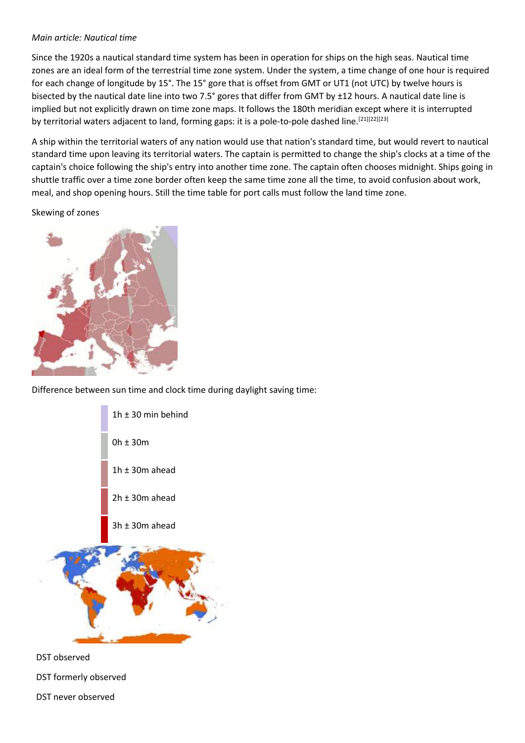#### *Main article: Nautical time*

Since the 1920s a nautical standard time system has been in operation for ships on the high seas. Nautical time zones are an ideal form of the terrestrial time zone system. Under the system, a time change of one hour is required for each change of longitude by 15°. The 15° gore that is offset from GMT or UT1 (not UTC) by twelve hours is bisected by the nautical date line into two 7.5° gores that differ from GMT by ±12 hours. A nautical date line is implied but not explicitly drawn on time zone maps. It follows the 180th meridian except where it is interrupted by territorial waters adjacent to land, forming gaps: it is a pole-to-pole dashed line. [21][22][23]

A ship within the territorial waters of any nation would use that nation's standard time, but would revert to nautical standard time upon leaving its territorial waters. The captain is permitted to change the ship's clocks at a time of the captain's choice following the ship's entry into another time zone. The captain often chooses midnight. Ships going in shuttle traffic over a time zone border often keep the same time zone all the time, to avoid confusion about work, meal, and shop opening hours. Still the time table for port calls must follow the land time zone.

Skewing of zones



Difference between sun time and clock time during daylight saving time:



DST formerly observed

DST never observed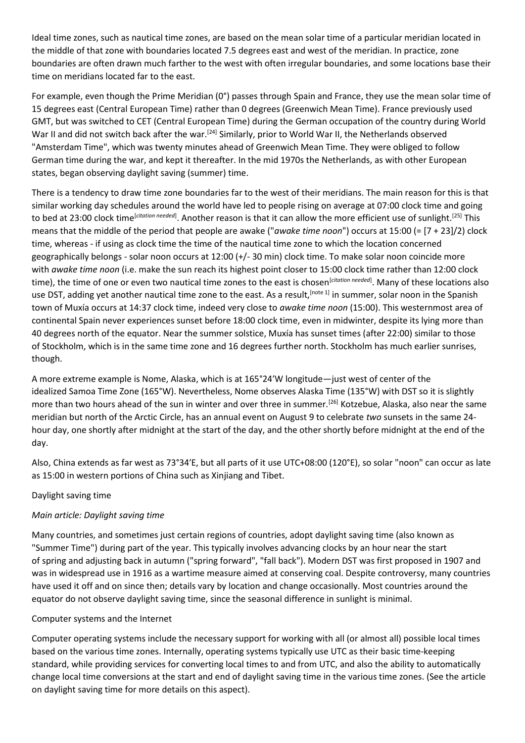Ideal time zones, such as nautical time zones, are based on the mean solar time of a particular meridian located in the middle of that zone with boundaries located 7.5 degrees east and west of the meridian. In practice, zone boundaries are often drawn much farther to the west with often irregular boundaries, and some locations base their time on meridians located far to the east.

For example, even though the Prime Meridian (0°) passes through Spain and France, they use the mean solar time of 15 degrees east (Central European Time) rather than 0 degrees (Greenwich Mean Time). France previously used GMT, but was switched to CET (Central European Time) during the German occupation of the country during World War II and did not switch back after the war.<sup>[24]</sup> Similarly, prior to World War II, the Netherlands observed "Amsterdam Time", which was twenty minutes ahead of Greenwich Mean Time. They were obliged to follow German time during the war, and kept it thereafter. In the mid 1970s the Netherlands, as with other European states, began observing daylight saving (summer) time.

There is a tendency to draw time zone boundaries far to the west of their meridians. The main reason for this is that similar working day schedules around the world have led to people rising on average at 07:00 clock time and going to bed at 23:00 clock time<sup>[citation needed]</sup>. Another reason is that it can allow the more efficient use of sunlight.<sup>[25]</sup> This means that the middle of the period that people are awake ("*awake time noon*") occurs at 15:00 (= [7 + 23]/2) clock time, whereas - if using as clock time the time of the nautical time zone to which the location concerned geographically belongs - solar noon occurs at 12:00 (+/- 30 min) clock time. To make solar noon coincide more with *awake time noon* (i.e. make the sun reach its highest point closer to 15:00 clock time rather than 12:00 clock time), the time of one or even two nautical time zones to the east is chosen<sup>[citation needed]</sup>. Many of these locations also use DST, adding yet another nautical time zone to the east. As a result, [note 1] in summer, solar noon in the Spanish town of Muxía occurs at 14:37 clock time, indeed very close to *awake time noon* (15:00). This westernmost area of continental Spain never experiences sunset before 18:00 clock time, even in midwinter, despite its lying more than 40 degrees north of the equator. Near the summer solstice, Muxía has sunset times (after 22:00) similar to those of Stockholm, which is in the same time zone and 16 degrees further north. Stockholm has much earlier sunrises, though.

A more extreme example is Nome, Alaska, which is at 165°24′W longitude—just west of center of the idealized Samoa Time Zone (165°W). Nevertheless, Nome observes Alaska Time (135°W) with DST so it is slightly more than two hours ahead of the sun in winter and over three in summer.<sup>[26]</sup> Kotzebue, Alaska, also near the same meridian but north of the Arctic Circle, has an annual event on August 9 to celebrate *two* sunsets in the same 24 hour day, one shortly after midnight at the start of the day, and the other shortly before midnight at the end of the day.

Also, China extends as far west as 73°34′E, but all parts of it use UTC+08:00 (120°E), so solar "noon" can occur as late as 15:00 in western portions of China such as Xinjiang and Tibet.

## Daylight saving time

## *Main article: Daylight saving time*

Many countries, and sometimes just certain regions of countries, adopt daylight saving time (also known as "Summer Time") during part of the year. This typically involves advancing clocks by an hour near the start of spring and adjusting back in autumn ("spring forward", "fall back"). Modern DST was first proposed in 1907 and was in widespread use in 1916 as a wartime measure aimed at conserving coal. Despite controversy, many countries have used it off and on since then; details vary by location and change occasionally. Most countries around the equator do not observe daylight saving time, since the seasonal difference in sunlight is minimal.

## Computer systems and the Internet

Computer operating systems include the necessary support for working with all (or almost all) possible local times based on the various time zones. Internally, operating systems typically use UTC as their basic time-keeping standard, while providing services for converting local times to and from UTC, and also the ability to automatically change local time conversions at the start and end of daylight saving time in the various time zones. (See the article on daylight saving time for more details on this aspect).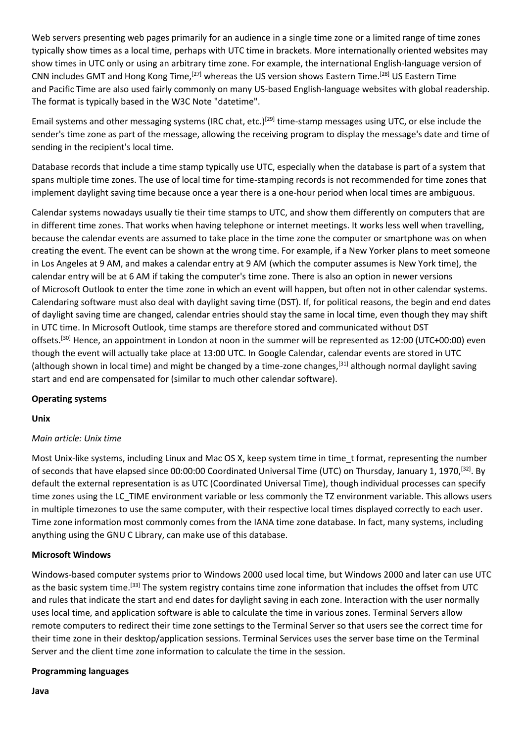Web servers presenting web pages primarily for an audience in a single time zone or a limited range of time zones typically show times as a local time, perhaps with UTC time in brackets. More internationally oriented websites may show times in UTC only or using an arbitrary time zone. For example, the international English-language version of CNN includes GMT and Hong Kong Time,<sup>[27]</sup> whereas the US version shows Eastern Time.<sup>[28]</sup> US Eastern Time and Pacific Time are also used fairly commonly on many US-based English-language websites with global readership. The format is typically based in the W3C Note "datetime".

Email systems and other messaging systems (IRC chat, etc.)<sup>[29]</sup> time-stamp messages using UTC, or else include the sender's time zone as part of the message, allowing the receiving program to display the message's date and time of sending in the recipient's local time.

Database records that include a time stamp typically use UTC, especially when the database is part of a system that spans multiple time zones. The use of local time for time-stamping records is not recommended for time zones that implement daylight saving time because once a year there is a one-hour period when local times are ambiguous.

Calendar systems nowadays usually tie their time stamps to UTC, and show them differently on computers that are in different time zones. That works when having telephone or internet meetings. It works less well when travelling, because the calendar events are assumed to take place in the time zone the computer or smartphone was on when creating the event. The event can be shown at the wrong time. For example, if a New Yorker plans to meet someone in Los Angeles at 9 AM, and makes a calendar entry at 9 AM (which the computer assumes is New York time), the calendar entry will be at 6 AM if taking the computer's time zone. There is also an option in newer versions of Microsoft Outlook to enter the time zone in which an event will happen, but often not in other calendar systems. Calendaring software must also deal with daylight saving time (DST). If, for political reasons, the begin and end dates of daylight saving time are changed, calendar entries should stay the same in local time, even though they may shift in UTC time. In Microsoft Outlook, time stamps are therefore stored and communicated without DST offsets.[30] Hence, an appointment in London at noon in the summer will be represented as 12:00 (UTC+00:00) even though the event will actually take place at 13:00 UTC. In Google Calendar, calendar events are stored in UTC (although shown in local time) and might be changed by a time-zone changes,<sup>[31]</sup> although normal daylight saving start and end are compensated for (similar to much other calendar software).

#### **Operating systems**

#### **Unix**

## *Main article: Unix time*

Most Unix-like systems, including Linux and Mac OS X, keep system time in time\_t format, representing the number of seconds that have elapsed since 00:00:00 Coordinated Universal Time (UTC) on Thursday, January 1, 1970, [32]. By default the external representation is as UTC (Coordinated Universal Time), though individual processes can specify time zones using the LC\_TIME environment variable or less commonly the TZ environment variable. This allows users in multiple timezones to use the same computer, with their respective local times displayed correctly to each user. Time zone information most commonly comes from the IANA time zone database. In fact, many systems, including anything using the GNU C Library, can make use of this database.

#### **Microsoft Windows**

Windows-based computer systems prior to Windows 2000 used local time, but Windows 2000 and later can use UTC as the basic system time.<sup>[33]</sup> The system registry contains time zone information that includes the offset from UTC and rules that indicate the start and end dates for daylight saving in each zone. Interaction with the user normally uses local time, and application software is able to calculate the time in various zones. Terminal Servers allow remote computers to redirect their time zone settings to the Terminal Server so that users see the correct time for their time zone in their desktop/application sessions. Terminal Services uses the server base time on the Terminal Server and the client time zone information to calculate the time in the session.

#### **Programming languages**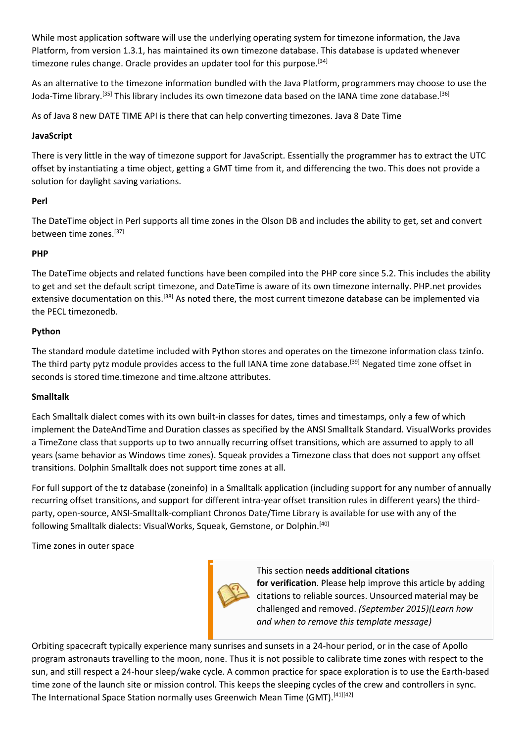While most application software will use the underlying operating system for timezone information, the Java Platform, from version 1.3.1, has maintained its own timezone database. This database is updated whenever timezone rules change. Oracle provides an updater tool for this purpose.<sup>[34]</sup>

As an alternative to the timezone information bundled with the Java Platform, programmers may choose to use the Joda-Time library.<sup>[35]</sup> This library includes its own timezone data based on the IANA time zone database.<sup>[36]</sup>

As of Java 8 new DATE TIME API is there that can help converting timezones. Java 8 Date Time

## **JavaScript**

There is very little in the way of timezone support for JavaScript. Essentially the programmer has to extract the UTC offset by instantiating a time object, getting a GMT time from it, and differencing the two. This does not provide a solution for daylight saving variations.

## **Perl**

The DateTime object in Perl supports all time zones in the Olson DB and includes the ability to get, set and convert between time zones.[37]

## **PHP**

The DateTime objects and related functions have been compiled into the PHP core since 5.2. This includes the ability to get and set the default script timezone, and DateTime is aware of its own timezone internally. PHP.net provides extensive documentation on this.<sup>[38]</sup> As noted there, the most current timezone database can be implemented via the PECL timezonedb.

## **Python**

The standard module datetime included with Python stores and operates on the timezone information class tzinfo. The third party pytz module provides access to the full IANA time zone database.<sup>[39]</sup> Negated time zone offset in seconds is stored time.timezone and time.altzone attributes.

## **Smalltalk**

Each Smalltalk dialect comes with its own built-in classes for dates, times and timestamps, only a few of which implement the DateAndTime and Duration classes as specified by the ANSI Smalltalk Standard. VisualWorks provides a TimeZone class that supports up to two annually recurring offset transitions, which are assumed to apply to all years (same behavior as Windows time zones). Squeak provides a Timezone class that does not support any offset transitions. Dolphin Smalltalk does not support time zones at all.

For full support of the tz database (zoneinfo) in a Smalltalk application (including support for any number of annually recurring offset transitions, and support for different intra-year offset transition rules in different years) the thirdparty, open-source, ANSI-Smalltalk-compliant Chronos Date/Time Library is available for use with any of the following Smalltalk dialects: VisualWorks, Squeak, Gemstone, or Dolphin.[40]

Time zones in outer space



This section **needs additional citations** 

**for verification**. Please help improve this article by adding citations to reliable sources. Unsourced material may be challenged and removed. *(September 2015)(Learn how and when to remove this template message)*

Orbiting spacecraft typically experience many sunrises and sunsets in a 24-hour period, or in the case of Apollo program astronauts travelling to the moon, none. Thus it is not possible to calibrate time zones with respect to the sun, and still respect a 24-hour sleep/wake cycle. A common practice for space exploration is to use the Earth-based time zone of the launch site or mission control. This keeps the sleeping cycles of the crew and controllers in sync. The International Space Station normally uses Greenwich Mean Time (GMT).<sup>[41][42]</sup>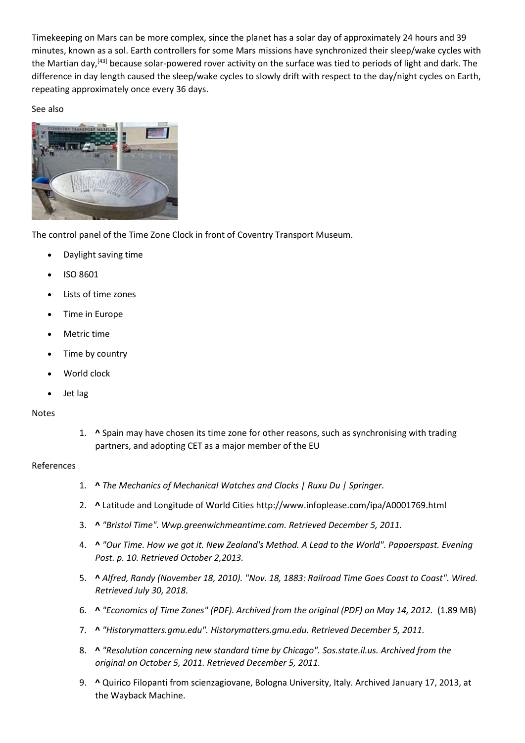Timekeeping on Mars can be more complex, since the planet has a solar day of approximately 24 hours and 39 minutes, known as a sol. Earth controllers for some Mars missions have synchronized their sleep/wake cycles with the Martian day,<sup>[43]</sup> because solar-powered rover activity on the surface was tied to periods of light and dark. The difference in day length caused the sleep/wake cycles to slowly drift with respect to the day/night cycles on Earth, repeating approximately once every 36 days.

See also



The control panel of the Time Zone Clock in front of Coventry Transport Museum.

- Daylight saving time
- ISO 8601
- Lists of time zones
- Time in Europe
- Metric time
- Time by country
- World clock
- Jet lag

## Notes

1. **^** Spain may have chosen its time zone for other reasons, such as synchronising with trading partners, and adopting CET as a major member of the EU

#### References

- 1. **^** *The Mechanics of Mechanical Watches and Clocks | Ruxu Du | Springer.*
- 2. **^** Latitude and Longitude of World Cities http://www.infoplease.com/ipa/A0001769.html
- 3. **^** *"Bristol Time". Wwp.greenwichmeantime.com. Retrieved December 5, 2011.*
- 4. **^** *"Our Time. How we got it. New Zealand's Method. A Lead to the World". Papaerspast. Evening Post. p. 10. Retrieved October 2,2013.*
- 5. **^** *Alfred, Randy (November 18, 2010). "Nov. 18, 1883: Railroad Time Goes Coast to Coast". Wired. Retrieved July 30, 2018.*
- 6. **^** *"Economics of Time Zones" (PDF). Archived from the original (PDF) on May 14, 2012.* (1.89 MB)
- 7. **^** *"Historymatters.gmu.edu". Historymatters.gmu.edu. Retrieved December 5, 2011.*
- 8. **^** *"Resolution concerning new standard time by Chicago". Sos.state.il.us. Archived from the original on October 5, 2011. Retrieved December 5, 2011.*
- 9. **^** Quirico Filopanti from scienzagiovane, Bologna University, Italy. Archived January 17, 2013, at the Wayback Machine.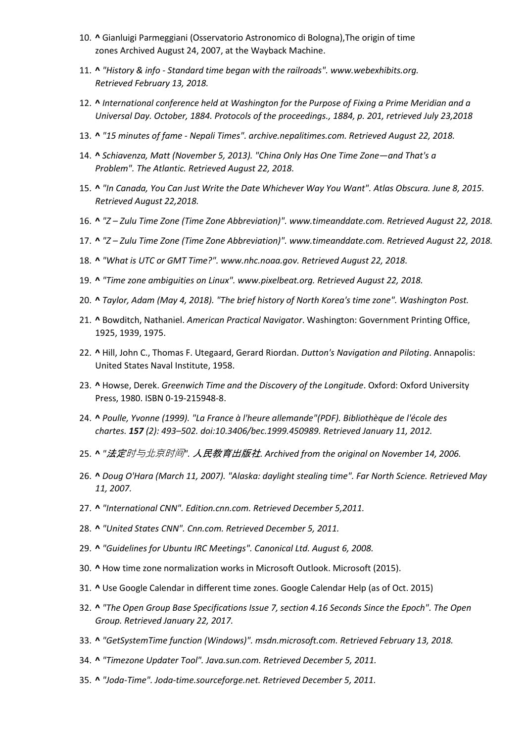- 10. **^** Gianluigi Parmeggiani (Osservatorio Astronomico di Bologna),The origin of time zones Archived August 24, 2007, at the Wayback Machine.
- 11. **^** *"History & info - Standard time began with the railroads". www.webexhibits.org. Retrieved February 13, 2018.*
- 12. **^** *International conference held at Washington for the Purpose of Fixing a Prime Meridian and a Universal Day. October, 1884. Protocols of the proceedings., 1884, p. 201, retrieved July 23,2018*
- 13. **^** *"15 minutes of fame - Nepali Times". archive.nepalitimes.com. Retrieved August 22, 2018.*
- 14. **^** *Schiavenza, Matt (November 5, 2013). "China Only Has One Time Zone—and That's a Problem". The Atlantic. Retrieved August 22, 2018.*
- 15. **^** *"In Canada, You Can Just Write the Date Whichever Way You Want". Atlas Obscura. June 8, 2015. Retrieved August 22,2018.*
- 16. **^** *"Z – Zulu Time Zone (Time Zone Abbreviation)". www.timeanddate.com. Retrieved August 22, 2018.*
- 17. **^** *"Z – Zulu Time Zone (Time Zone Abbreviation)". www.timeanddate.com. Retrieved August 22, 2018.*
- 18. **^** *"What is UTC or GMT Time?". www.nhc.noaa.gov. Retrieved August 22, 2018.*
- 19. **^** *"Time zone ambiguities on Linux". www.pixelbeat.org. Retrieved August 22, 2018.*
- 20. **^** *Taylor, Adam (May 4, 2018). "The brief history of North Korea's time zone". Washington Post.*
- 21. **^** Bowditch, Nathaniel. *American Practical Navigator*. Washington: Government Printing Office, 1925, 1939, 1975.
- 22. **^** Hill, John C., Thomas F. Utegaard, Gerard Riordan. *Dutton's Navigation and Piloting*. Annapolis: United States Naval Institute, 1958.
- 23. **^** Howse, Derek. *Greenwich Time and the Discovery of the Longitude*. Oxford: Oxford University Press, 1980. ISBN 0-19-215948-8.
- 24. **^** *Poulle, Yvonne (1999). "La France à l'heure allemande"(PDF). Bibliothèque de l'école des chartes. 157 (2): 493–502. doi:10.3406/bec.1999.450989. Retrieved January 11, 2012.*
- 25. **^** *"*法定时与北京时间*".* 人民教育出版社*. Archived from the original on November 14, 2006.*
- 26. **^** *Doug O'Hara (March 11, 2007). "Alaska: daylight stealing time". Far North Science. Retrieved May 11, 2007.*
- 27. **^** *"International CNN". Edition.cnn.com. Retrieved December 5,2011.*
- 28. **^** *"United States CNN". Cnn.com. Retrieved December 5, 2011.*
- 29. **^** *"Guidelines for Ubuntu IRC Meetings". Canonical Ltd. August 6, 2008.*
- 30. **^** How time zone normalization works in Microsoft Outlook. Microsoft (2015).
- 31. **^** Use Google Calendar in different time zones. Google Calendar Help (as of Oct. 2015)
- 32. **^** *"The Open Group Base Specifications Issue 7, section 4.16 Seconds Since the Epoch". The Open Group. Retrieved January 22, 2017.*
- 33. **^** *"GetSystemTime function (Windows)". msdn.microsoft.com. Retrieved February 13, 2018.*
- 34. **^** *"Timezone Updater Tool". Java.sun.com. Retrieved December 5, 2011.*
- 35. **^** *"Joda-Time". Joda-time.sourceforge.net. Retrieved December 5, 2011.*